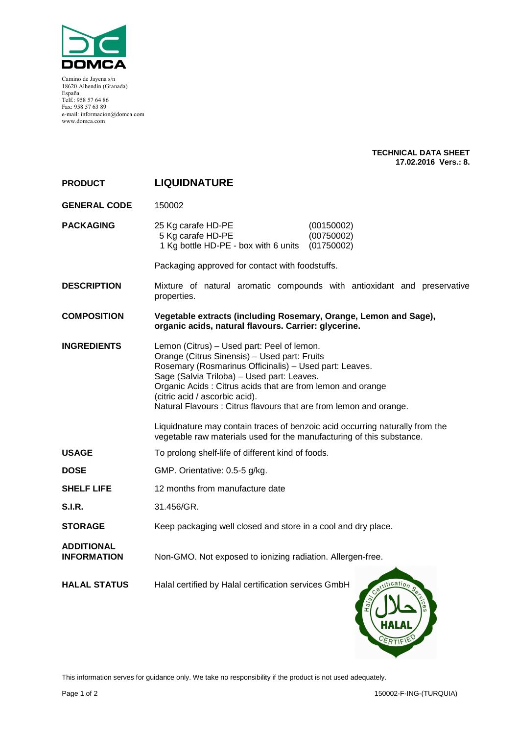

Camino de Jayena s/n 18620 Alhendín (Granada) España Telf.: 958 57 64 86 Fax: 958 57 63 89 e-mail: informacion@domca.com www.domca.com

#### **TECHNICAL DATA SHEET 17.02.2016 Vers.: 8.**

| <b>PRODUCT</b>                          | <b>LIQUIDNATURE</b>                                                                                                                                                                                                                                                                                                                                                                                                                                                                                                               |  |  |
|-----------------------------------------|-----------------------------------------------------------------------------------------------------------------------------------------------------------------------------------------------------------------------------------------------------------------------------------------------------------------------------------------------------------------------------------------------------------------------------------------------------------------------------------------------------------------------------------|--|--|
| <b>GENERAL CODE</b>                     | 150002                                                                                                                                                                                                                                                                                                                                                                                                                                                                                                                            |  |  |
| <b>PACKAGING</b>                        | (00150002)<br>25 Kg carafe HD-PE<br>5 Kg carafe HD-PE<br>(00750002)<br>1 Kg bottle HD-PE - box with 6 units<br>(01750002)                                                                                                                                                                                                                                                                                                                                                                                                         |  |  |
|                                         | Packaging approved for contact with foodstuffs.                                                                                                                                                                                                                                                                                                                                                                                                                                                                                   |  |  |
| <b>DESCRIPTION</b>                      | Mixture of natural aromatic compounds with antioxidant and preservative<br>properties.                                                                                                                                                                                                                                                                                                                                                                                                                                            |  |  |
| <b>COMPOSITION</b>                      | Vegetable extracts (including Rosemary, Orange, Lemon and Sage),<br>organic acids, natural flavours. Carrier: glycerine.                                                                                                                                                                                                                                                                                                                                                                                                          |  |  |
| <b>INGREDIENTS</b>                      | Lemon (Citrus) - Used part: Peel of lemon.<br>Orange (Citrus Sinensis) - Used part: Fruits<br>Rosemary (Rosmarinus Officinalis) - Used part: Leaves.<br>Sage (Salvia Triloba) - Used part: Leaves.<br>Organic Acids: Citrus acids that are from lemon and orange<br>(citric acid / ascorbic acid).<br>Natural Flavours : Citrus flavours that are from lemon and orange.<br>Liquidnature may contain traces of benzoic acid occurring naturally from the<br>vegetable raw materials used for the manufacturing of this substance. |  |  |
| <b>USAGE</b>                            | To prolong shelf-life of different kind of foods.                                                                                                                                                                                                                                                                                                                                                                                                                                                                                 |  |  |
| <b>DOSE</b>                             | GMP. Orientative: 0.5-5 g/kg.                                                                                                                                                                                                                                                                                                                                                                                                                                                                                                     |  |  |
| <b>SHELF LIFE</b>                       | 12 months from manufacture date                                                                                                                                                                                                                                                                                                                                                                                                                                                                                                   |  |  |
| <b>S.I.R.</b>                           | 31.456/GR.                                                                                                                                                                                                                                                                                                                                                                                                                                                                                                                        |  |  |
| <b>STORAGE</b>                          | Keep packaging well closed and store in a cool and dry place.                                                                                                                                                                                                                                                                                                                                                                                                                                                                     |  |  |
| <b>ADDITIONAL</b><br><b>INFORMATION</b> | Non-GMO. Not exposed to ionizing radiation. Allergen-free.                                                                                                                                                                                                                                                                                                                                                                                                                                                                        |  |  |
| <b>HALAL STATUS</b>                     | Halal certified by Halal certification services GmbH<br>Certification<br>$\widetilde{\sigma}$                                                                                                                                                                                                                                                                                                                                                                                                                                     |  |  |

This information serves for guidance only. We take no responsibility if the product is not used adequately.

ERTIFI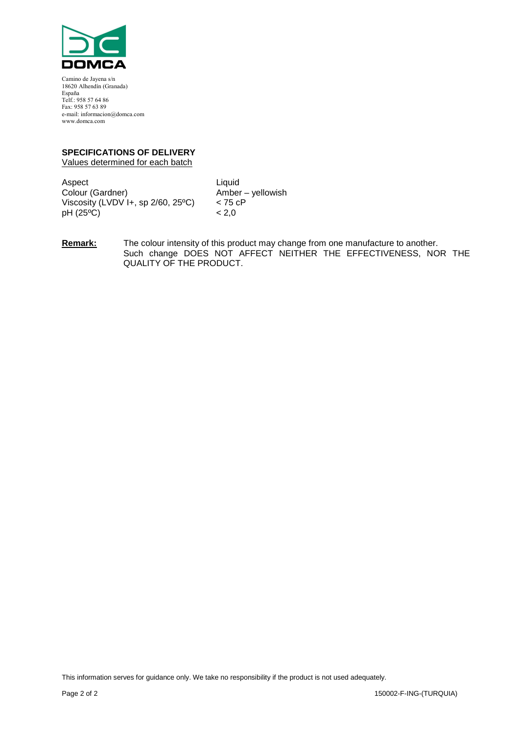

Camino de Jayena s/n 18620 Alhendín (Granada) España Telf.: 958 57 64 86 Fax: 958 57 63 89 e-mail: informacion@domca.com www.domca.com

### **SPECIFICATIONS OF DELIVERY**

Values determined for each batch

Aspect<br>
Colour (Gardner) Colour (Gardner) Viscosity (LVDV  $H$ , sp 2/60, 25°C) < 75 cP pH (25ºC) < 2,0

Amber – yellowish

**Remark:** The colour intensity of this product may change from one manufacture to another. Such change DOES NOT AFFECT NEITHER THE EFFECTIVENESS, NOR THE QUALITY OF THE PRODUCT.

This information serves for guidance only. We take no responsibility if the product is not used adequately.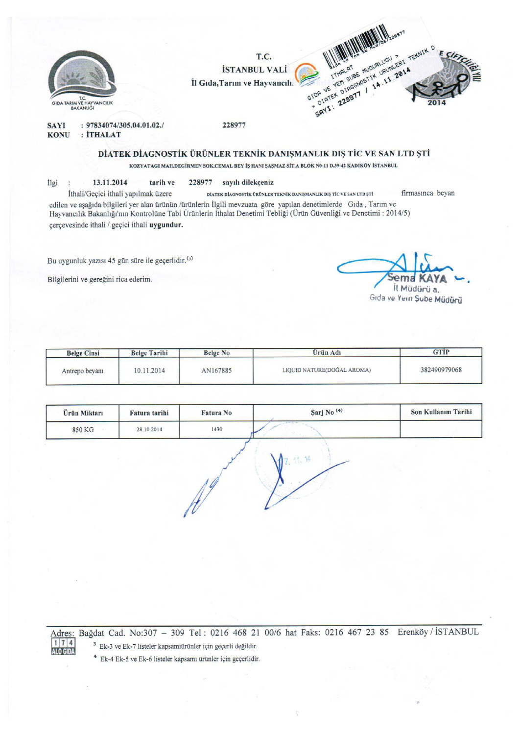

#### **SAYI KONU** : İTHALAT

## DİATEK DİAGNOSTİK ÜRÜNLER TEKNİK DANIŞMANLIK DIŞ TİC VE SAN LTD ŞTİ

KOZYATAGI MAH.DEGİRMEN SOK.CEMAL BEY İŞ HANI ŞAŞMAZ SİT.A BLOK N0-11 D.39-42 KADIKÖY İSTANBUL

13.11.2014 İlgi : tarih ve 228977 sayılı dilekçeniz

firmasınca beyan İthali/Geçici ithali yapılmak üzere DİATEK DİAGNOSTİK ÜRÜNLER TEKNİK DANIŞMANLIK DIŞ TİC VE SAN LTD ŞTİ edilen ve aşağıda bilgileri yer alan ürünün /ürünlerin İlgili mevzuata göre yapılan denetimlerde Gıda, Tarım ve Hayvancılık Bakanlığı'nın Kontrolüne Tabi Ürünlerin İthalat Denetimi Tebliği (Ürün Güvenliği ve Denetimi : 2014/5) çerçevesinde ithali / geçici ithali uygundur.

Bu uygunluk yazısı 45 gün süre ile geçerlidir.<sup>(3)</sup>

Bilgilerini ve gereğini rica ederim.

ALO GIDA

Il Müdürü a. Gıda ve Yern Şube Müdürü

| <b>Belge Cinsi</b> | <b>Belge Tarihi</b> | <b>Belge No</b> | <b>Urün</b> Adı            | <b>GTIP</b>  |
|--------------------|---------------------|-----------------|----------------------------|--------------|
| Antrepo beyani     | 10.11.2014          | AN167885        | LIQUID NATURE(DOĞAL AROMA) | 382490979068 |

| Ürün Miktarı | Fatura tarihi | Fatura No | Sarj No <sup>(4)</sup> | Son Kullanım Tarihi |
|--------------|---------------|-----------|------------------------|---------------------|
| 850 KG       | 28.10.2014    | 1430      |                        |                     |



Adres: Bağdat Cad. No:307 - 309 Tel: 0216 468 21 00/6 hat Faks: 0216 467 23 85 Erenköy / İSTANBUL  $174$ 

<sup>3</sup> Ek-3 ve Ek-7 listeler kapsamıürünler için geçerli değildir.

<sup>4</sup> Ek-4 Ek-5 ve Ek-6 listeler kapsamı ürünler için geçerlidir.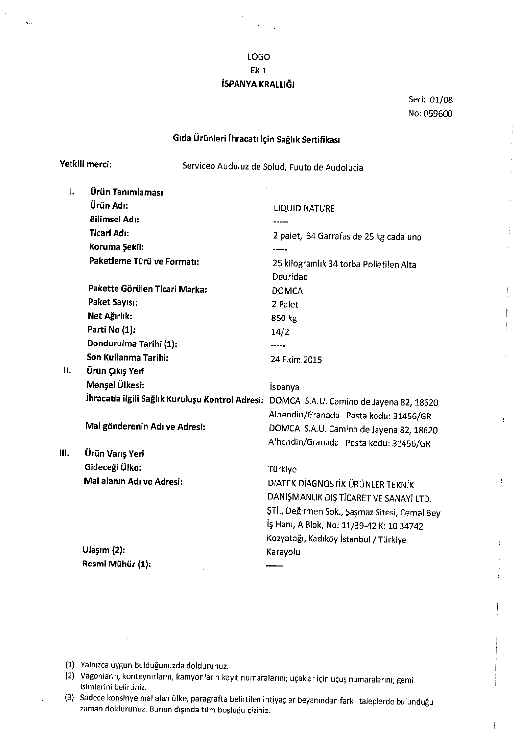## LOGO **EK1** İSPANYA KRALLIĞI

Seri: 01/08 No: 059600

# Gıda Ürünleri İhracatı için Sağlık Sertifikası

Serviceo Audoluz de Solud, Fuuto de Audolucia

| ı. | Ürün Tanımlaması                                                                         |                                                                                  |
|----|------------------------------------------------------------------------------------------|----------------------------------------------------------------------------------|
|    | Ürün Adı:                                                                                | <b>LIQUID NATURE</b>                                                             |
|    | <b>Bilimsel Adı:</b>                                                                     |                                                                                  |
|    | <b>Ticari Adı:</b>                                                                       | 2 palet, 34 Garrafas de 25 kg cada und                                           |
|    | Koruma Şekli:                                                                            |                                                                                  |
|    | Paketleme Türü ve Formatı:                                                               | 25 kilogramlık 34 torba Polietilen Alta<br>Deuridad                              |
|    | Pakette Görülen Ticari Marka:                                                            | <b>DOMCA</b>                                                                     |
|    | Paket Sayısı:                                                                            | 2 Palet                                                                          |
|    | Net Ağırlık:                                                                             | 850 kg                                                                           |
|    | Parti No (1):                                                                            | 14/2                                                                             |
|    | Dondurulma Tarihi (1):                                                                   | -----                                                                            |
|    | Son Kullanma Tarihi:                                                                     | 24 Ekim 2015                                                                     |
| П. | Ürün Çıkış Yeri                                                                          |                                                                                  |
|    | Menşei Ülkesi:                                                                           | İspanya                                                                          |
|    | İhracatla ilgili Sağlık Kuruluşu Kontrol Adresi: DOMCA S.A.U. Camino de Jayena 82, 18620 |                                                                                  |
|    |                                                                                          | Alhendin/Granada Posta kodu: 31456/GR                                            |
|    | Mal gönderenin Adı ve Adresi:                                                            | DOMCA S.A.U. Camino de Jayena 82, 18620<br>Alhendin/Granada Posta kodu: 31456/GR |
| Ш. | Ürün Varış Yeri                                                                          |                                                                                  |
|    | Gideceği Ülke:                                                                           | Türkiye                                                                          |
|    | Mal alanın Adı ve Adresi:                                                                | DIATEK DIAGNOSTIK ÜRÜNLER TEKNIK                                                 |
|    |                                                                                          | DANIŞMANLIK DIŞ TİCARET VE SANAYİ LTD.                                           |
|    |                                                                                          | ŞTİ., Değirmen Sok., Şaşmaz Sitesi, Cemal Bey                                    |
|    |                                                                                          | İş Hanı, A Blok, No: 11/39-42 K: 10 34742                                        |
|    |                                                                                          | Kozyatağı, Kadıköy İstanbul / Türkiye                                            |
|    | Ulaşım (2):                                                                              | Karayolu                                                                         |
|    | Resmi Mühür (1):                                                                         | ------                                                                           |
|    |                                                                                          |                                                                                  |

(1) Yalnızca uygun bulduğunuzda doldurunuz.

Yetkili merci:

- (2) Vagonların, konteynırların, kamyonların kayıt numaralarını; uçaklar için uçuş numaralarını; gemi isimlerini belirtiniz.
- (3) Sadece konsinye mal alan ülke, paragrafta belirtilen ihtiyaçlar beyanından farklı taleplerde bulunduğu zaman doldurunuz. Bunun dışında tüm boşluğu çiziniz.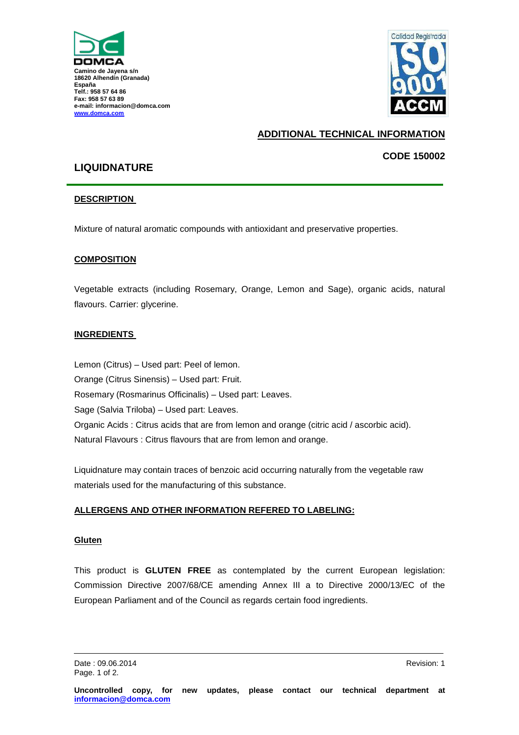



# **ADDITIONAL TECHNICAL INFORMATION**

## **CODE 150002**

# **LIQUIDNATURE**

#### **DESCRIPTION**

Mixture of natural aromatic compounds with antioxidant and preservative properties.

#### **COMPOSITION**

Vegetable extracts (including Rosemary, Orange, Lemon and Sage), organic acids, natural flavours. Carrier: glycerine.

#### **INGREDIENTS**

Lemon (Citrus) – Used part: Peel of lemon. Orange (Citrus Sinensis) – Used part: Fruit. Rosemary (Rosmarinus Officinalis) – Used part: Leaves. Sage (Salvia Triloba) – Used part: Leaves. Organic Acids : Citrus acids that are from lemon and orange (citric acid / ascorbic acid). Natural Flavours : Citrus flavours that are from lemon and orange.

Liquidnature may contain traces of benzoic acid occurring naturally from the vegetable raw materials used for the manufacturing of this substance.

#### **ALLERGENS AND OTHER INFORMATION REFERED TO LABELING:**

#### **Gluten**

This product is **GLUTEN FREE** as contemplated by the current European legislation: Commission Directive 2007/68/CE amending Annex III a to Directive 2000/13/EC of the European Parliament and of the Council as regards certain food ingredients.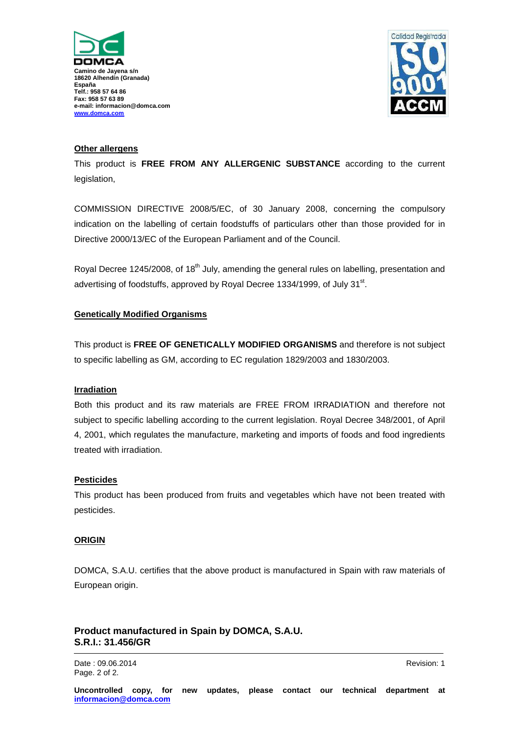



#### **Other allergens**

This product is **FREE FROM ANY ALLERGENIC SUBSTANCE** according to the current legislation,

COMMISSION DIRECTIVE 2008/5/EC, of 30 January 2008, concerning the compulsory indication on the labelling of certain foodstuffs of particulars other than those provided for in Directive 2000/13/EC of the European Parliament and of the Council.

Royal Decree 1245/2008, of 18<sup>th</sup> July, amending the general rules on labelling, presentation and advertising of foodstuffs, approved by Royal Decree 1334/1999, of July 31<sup>st</sup>.

#### **Genetically Modified Organisms**

This product is **FREE OF GENETICALLY MODIFIED ORGANISMS** and therefore is not subject to specific labelling as GM, according to EC regulation 1829/2003 and 1830/2003.

#### **Irradiation**

Both this product and its raw materials are FREE FROM IRRADIATION and therefore not subject to specific labelling according to the current legislation. Royal Decree 348/2001, of April 4, 2001, which regulates the manufacture, marketing and imports of foods and food ingredients treated with irradiation.

#### **Pesticides**

This product has been produced from fruits and vegetables which have not been treated with pesticides.

#### **ORIGIN**

DOMCA, S.A.U. certifies that the above product is manufactured in Spain with raw materials of European origin.

### **Product manufactured in Spain by DOMCA, S.A.U. S.R.I.: 31.456/GR**

Date : 09.06.2014 Revision: 1 Page. 2 of 2.

**Uncontrolled copy, for new updates, please contact our technical department at informacion@domca.com**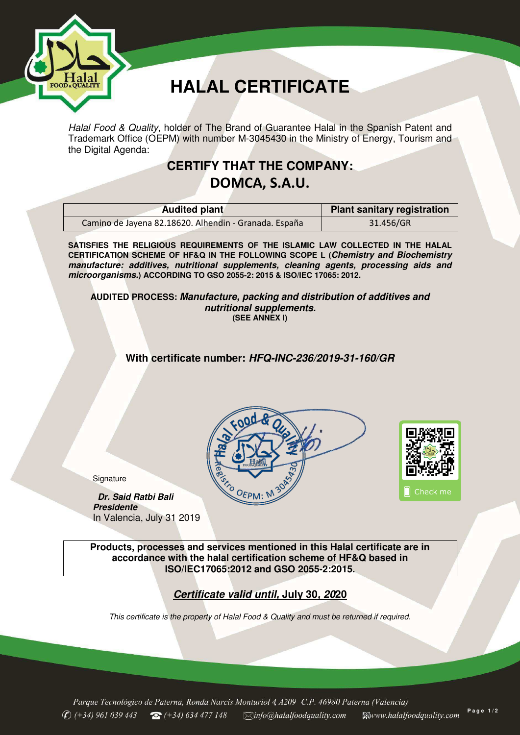

**Signature** 

*Presidente* 

 *Dr. Said Ratbi Bali* 

In Valencia, July 31 2019

# **HALAL CERTIFICATE**

*Halal Food & Quality*, holder of The Brand of Guarantee Halal in the Spanish Patent and Trademark Office (OEPM) with number M-3045430 in the Ministry of Energy, Tourism and the Digital Agenda:

# **CERTIFY THAT THE COMPANY: DOMCA, S.A.U.**

| <b>Audited plant</b>                                  | <b>Plant sanitary registration</b> |
|-------------------------------------------------------|------------------------------------|
| Camino de Jayena 82.18620. Alhendin - Granada. España | 31.456/GR                          |

**SATISFIES THE RELIGIOUS REQUIREMENTS OF THE ISLAMIC LAW COLLECTED IN THE HALAL CERTIFICATION SCHEME OF HF&Q IN THE FOLLOWING SCOPE L (***Chemistry and Biochemistry manufacture: additives, nutritional supplements, cleaning agents, processing aids and microorganisms.***) ACCORDING TO GSO 2055-2: 2015 & ISO/IEC 17065: 2012.** 

**AUDITED PROCESS:** *Manufacture, packing and distribution of additives and nutritional supplements.* **(SEE ANNEX I)** 

**With certificate number:** *HFQ-INC-236/2019-31-160/GR*





 **Products, processes and services mentioned in this Halal certificate are in accordance with the halal certification scheme of HF&Q based in ISO/IEC17065:2012 and GSO 2055-2:2015.** 

# *Certificate valid until,* **July 30***, 20***20**

*This certificate is the property of Halal Food & Quality and must be returned if required.* 

Parque Tecnológico de Paterna, Ronda Narcis Monturiol 4, A209 C.P. 46980 Paterna (Valencia) **P a g e 1 / 2**  $\bigcirc$  (+34) 961 039 443  $\bullet$  (+34) 634 477 148  $\Box$ info@halalfoodquality.com **EWww.halalfoodquality.com**